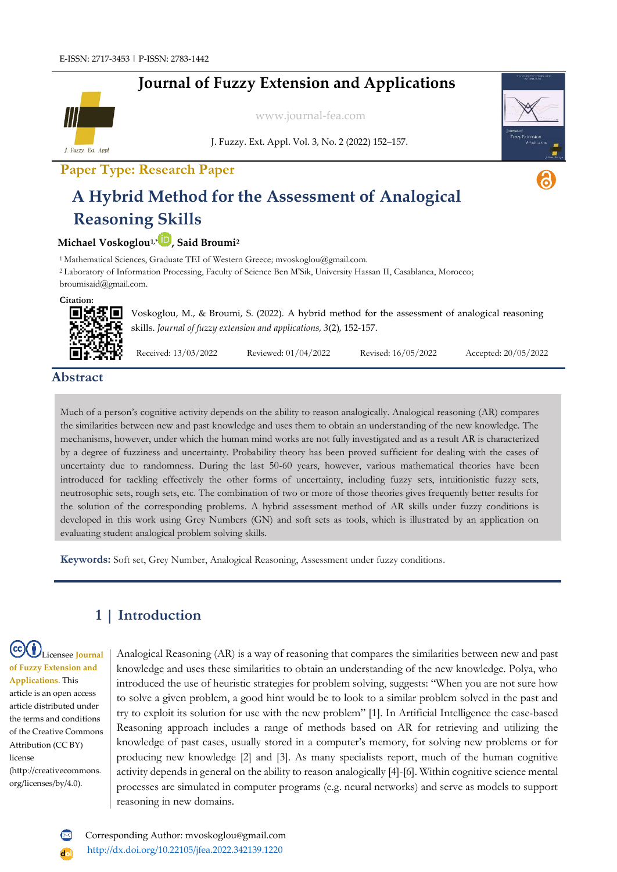# **Journal of Fuzzy Extension and Applications**



[www.journal-fea.com](http://www.journal-fea.com/)

J. Fuzzy. Ext. Appl. Vol. 3, No. 2 (2022) 152–157.



# **Paper Type: Research Paper**

# **A Hybrid Method for the Assessment of Analogical Reasoning Skills**

#### **Michael Voskoglou1,[\\*](https://orcid.org/0000-0002-4727-0089) , Said Broumi<sup>2</sup>**

<sup>1</sup> Mathematical Sciences, Graduate TEI of Western Greece; mvoskoglou@gmail.com. <sup>2</sup>Laboratory of Information Processing, Faculty of Science Ben M'Sik, University Hassan II, Casablanca, Morocco; broumisaid@gmail.com.

**Citation:**



Voskoglou, M., & Broumi, S. (2022). A hybrid method for the assessment of analogical reasoning skills. *Journal of fuzzy extension and applications, 3*(2), 152-157.

Received: 13/03/2022 Reviewed: 01/04/2022 Revised: 16/05/2022 Accepted: 20/05/2022

### **Abstract**

Much of a person's cognitive activity depends on the ability to reason analogically. Analogical reasoning (AR) compares the similarities between new and past knowledge and uses them to obtain an understanding of the new knowledge. The mechanisms, however, under which the human mind works are not fully investigated and as a result AR is characterized by a degree of fuzziness and uncertainty. Probability theory has been proved sufficient for dealing with the cases of uncertainty due to randomness. During the last 50-60 years, however, various mathematical theories have been introduced for tackling effectively the other forms of uncertainty, including fuzzy sets, intuitionistic fuzzy sets, neutrosophic sets, rough sets, etc. The combination of two or more of those theories gives frequently better results for the solution of the corresponding problems. A hybrid assessment method of AR skills under fuzzy conditions is developed in this work using Grey Numbers (GN) and soft sets as tools, which is illustrated by an application on evaluating student analogical problem solving skills.

**Keywords:** Soft set, Grey Number, Analogical Reasoning, Assessment under fuzzy conditions.

# **1 | Introduction**

#### Licensee **Journal of Fuzzy Extension and Applications**. This article is an open access article distributed under the terms and conditions of the Creative Commons Attribution (CC BY) license (http://creativecommons. org/licenses/by/4.0).

Analogical Reasoning (AR) is a way of reasoning that compares the similarities between new and past knowledge and uses these similarities to obtain an understanding of the new knowledge. Polya, who introduced the use of heuristic strategies for problem solving, suggests: "When you are not sure how to solve a given problem, a good hint would be to look to a similar problem solved in the past and try to exploit its solution for use with the new problem" [1]. In Artificial Intelligence the case-based Reasoning approach includes a range of methods based on AR for retrieving and utilizing the knowledge of past cases, usually stored in a computer's memory, for solving new problems or for producing new knowledge [2] and [3]. As many specialists report, much of the human cognitive activity depends in general on the ability to reason analogically [4]-[6]. Within cognitive science mental processes are simulated in computer programs (e.g. neural networks) and serve as models to support reasoning in new domains.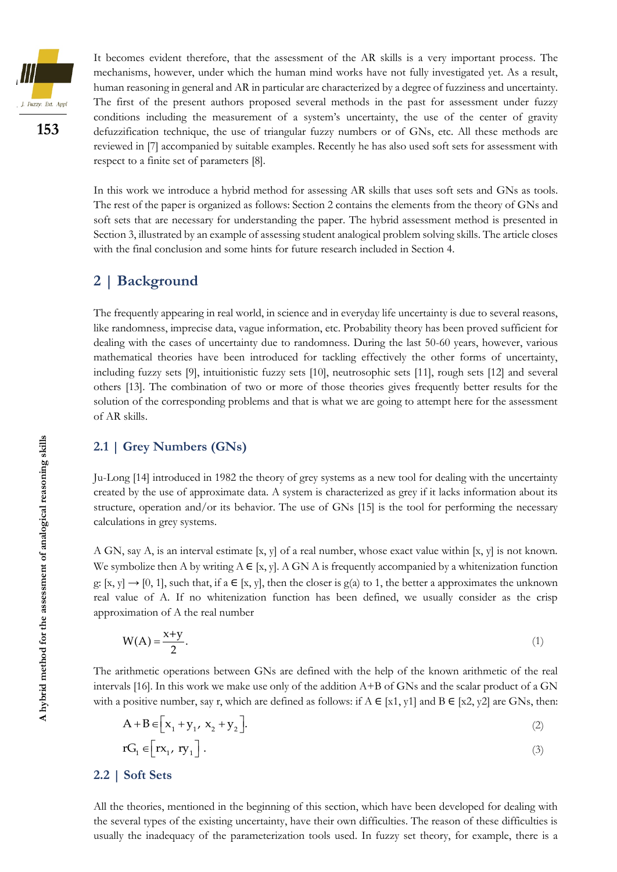

**153**

It becomes evident therefore, that the assessment of the AR skills is a very important process. The mechanisms, however, under which the human mind works have not fully investigated yet. As a result, human reasoning in general and AR in particular are characterized by a degree of fuzziness and uncertainty. The first of the present authors proposed several methods in the past for assessment under fuzzy conditions including the measurement of a system's uncertainty, the use of the center of gravity defuzzification technique, the use of triangular fuzzy numbers or of GNs, etc. All these methods are reviewed in [7] accompanied by suitable examples. Recently he has also used soft sets for assessment with respect to a finite set of parameters [8].

In this work we introduce a hybrid method for assessing AR skills that uses soft sets and GNs as tools. The rest of the paper is organized as follows: Section 2 contains the elements from the theory of GNs and soft sets that are necessary for understanding the paper. The hybrid assessment method is presented in Section 3, illustrated by an example of assessing student analogical problem solving skills. The article closes with the final conclusion and some hints for future research included in Section 4.

# **2 | Background**

The frequently appearing in real world, in science and in everyday life uncertainty is due to several reasons, like randomness, imprecise data, vague information, etc. Probability theory has been proved sufficient for dealing with the cases of uncertainty due to randomness. During the last 50-60 years, however, various mathematical theories have been introduced for tackling effectively the other forms of uncertainty, including fuzzy sets [9], intuitionistic fuzzy sets [10], neutrosophic sets [11], rough sets [12] and several others [13]. The combination of two or more of those theories gives frequently better results for the solution of the corresponding problems and that is what we are going to attempt here for the assessment of AR skills.

#### **2.1 | Grey Numbers (GNs)**

Ju-Long [14] introduced in 1982 the theory of grey systems as a new tool for dealing with the uncertainty created by the use of approximate data. A system is characterized as grey if it lacks information about its structure, operation and/or its behavior. The use of GNs [15] is the tool for performing the necessary calculations in grey systems.

A GN, say A, is an interval estimate [x, y] of a real number, whose exact value within [x, y] is not known. We symbolize then A by writing  $A \in [x, y]$ . A GN A is frequently accompanied by a whitenization function g: [x, y]  $\rightarrow$  [0, 1], such that, if a  $\in$  [x, y], then the closer is g(a) to 1, the better a approximates the unknown real value of A. If no whitenization function has been defined, we usually consider as the crisp approximation of A the real number

$$
W(A) = \frac{x+y}{2}.\tag{1}
$$

The arithmetic operations between GNs are defined with the help of the known arithmetic of the real intervals [16]. In this work we make use only of the addition A+B of GNs and the scalar product of a GN with a positive number, say r, which are defined as follows: if  $A \in [x1, y1]$  and  $B \in [x2, y2]$  are GNs, then:  $W(A) = \frac{x+y}{2}$ . (1)<br>
The arithmetic operations between GNs are defined with the help of the known arithmetic of the real<br>
intervals [16]. In this work we make use only of the addition A+B of GNs and the scalar product of a

$$
A + B \in \left[ x_1 + y_1, x_2 + y_2 \right]. \tag{2}
$$

$$
rG_1 \in \left[ rx_1, \, ry_1 \right]. \tag{3}
$$

#### **2.2 | Soft Sets**

All the theories, mentioned in the beginning of this section, which have been developed for dealing with the several types of the existing uncertainty, have their own difficulties. The reason of these difficulties is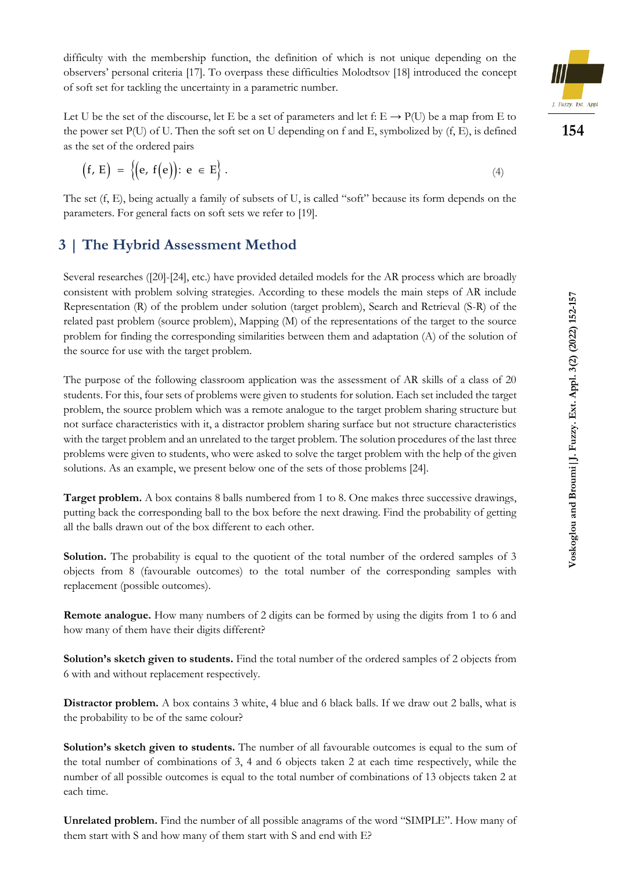difficulty with the membership function, the definition of which is not unique depending on the observers' personal criteria [17]. To overpass these difficulties Molodtsov [18] introduced the concept of soft set for tackling the uncertainty in a parametric number.



Let U be the set of the discourse, let E be a set of parameters and let f:  $E \rightarrow P(U)$  be a map from E to the power set  $P(U)$  of U. Then the soft set on U depending on f and E, symbolized by  $(f, E)$ , is defined as the set of the ordered pairs

$$
(f, E) = \{ (e, f(e)) \colon e \in E \} . \tag{4}
$$

The set (f, E), being actually a family of subsets of U, is called "soft" because its form depends on the parameters. For general facts on soft sets we refer to [19].

# **3 | The Hybrid Assessment Method**

Several researches ([20]-[24], etc.) have provided detailed models for the AR process which are broadly consistent with problem solving strategies. According to these models the main steps of AR include Representation (R) of the problem under solution (target problem), Search and Retrieval (S-R) of the related past problem (source problem), Mapping (M) of the representations of the target to the source problem for finding the corresponding similarities between them and adaptation (A) of the solution of the source for use with the target problem.

The purpose of the following classroom application was the assessment of AR skills of a class of 20 students. For this, four sets of problems were given to students for solution. Each set included the target problem, the source problem which was a remote analogue to the target problem sharing structure but not surface characteristics with it, a distractor problem sharing surface but not structure characteristics with the target problem and an unrelated to the target problem. The solution procedures of the last three problems were given to students, who were asked to solve the target problem with the help of the given solutions. As an example, we present below one of the sets of those problems [24]. ( $f, E$ ) = { $\{e, f(e)\}\colon e \in E\}$ .<br>The set ( $f, E$ ), being accually a family of subsets of U, is called "soft"<br>parameters. I/or general facts on soft sets we refer to [19].<br>
[The Hybrid Assecssment Method<br>Several researches (20

**Target problem.** A box contains 8 balls numbered from 1 to 8. One makes three successive drawings, putting back the corresponding ball to the box before the next drawing. Find the probability of getting all the balls drawn out of the box different to each other.

**Solution.** The probability is equal to the quotient of the total number of the ordered samples of 3 objects from 8 (favourable outcomes) to the total number of the corresponding samples with replacement (possible outcomes).

**Remote analogue.** How many numbers of 2 digits can be formed by using the digits from 1 to 6 and how many of them have their digits different?

**Solution's sketch given to students.** Find the total number of the ordered samples of 2 objects from 6 with and without replacement respectively.

**Distractor problem.** A box contains 3 white, 4 blue and 6 black balls. If we draw out 2 balls, what is the probability to be of the same colour?

**Solution's sketch given to students.** The number of all favourable outcomes is equal to the sum of the total number of combinations of 3, 4 and 6 objects taken 2 at each time respectively, while the number of all possible outcomes is equal to the total number of combinations of 13 objects taken 2 at each time.

**Unrelated problem.** Find the number of all possible anagrams of the word "SIMPLE". How many of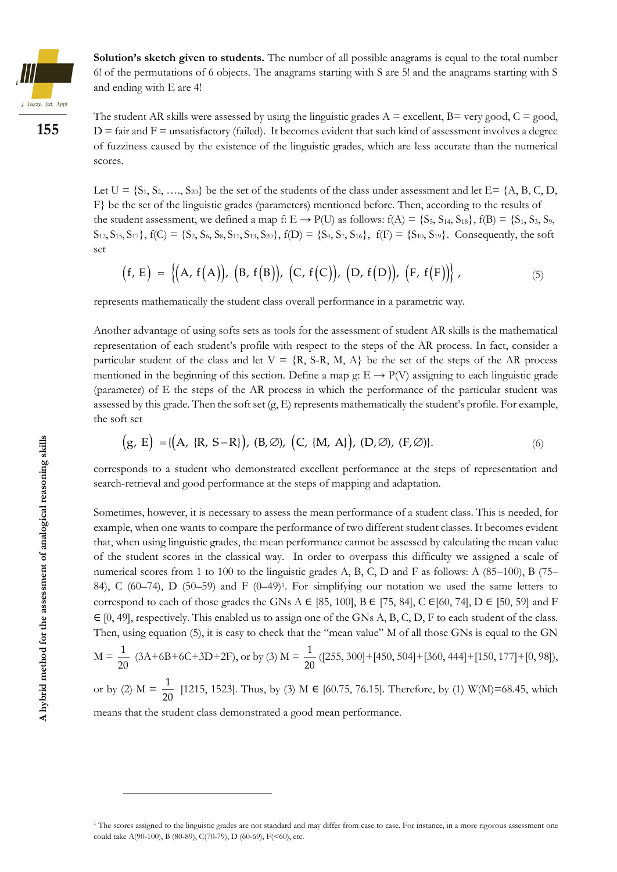

**Solution's sketch given to students.** The number of all possible anagrams is equal to the total number 6! of the permutations of 6 objects. The anagrams starting with S are 5! and the anagrams starting with S and ending with E are 4!



The student AR skills were assessed by using the linguistic grades  $A =$  excellent,  $B =$  very good,  $C =$  good,  $D =$  fair and  $F =$  unsatisfactory (failed). It becomes evident that such kind of assessment involves a degree of fuzziness caused by the existence of the linguistic grades, which are less accurate than the numerical scores.

Let  $U = \{S_1, S_2, \ldots, S_{20}\}\)$  be the set of the students of the class under assessment and let  $E = \{A, B, C, D, D\}$ F} be the set of the linguistic grades (parameters) mentioned before. Then, according to the results of the student assessment, we defined a map f:  $E \rightarrow P(U)$  as follows:  $f(A) = \{S_5, S_{14}, S_{18}\}, f(B) = \{S_1, S_3, S_9,$  $S_{12}$ ,  $S_{15}$ ,  $S_{17}$ },  $f(C) = \{S_2, S_6, S_8, S_{11}, S_{13}, S_{20}\}$ ,  $f(D) = \{S_4, S_7, S_{16}\}$ ,  $f(F) = \{S_{10}, S_{19}\}$ . Consequently, the soft set

$$
(f, E) = \{(A, f(A)), (B, f(B)), (C, f(C)), (D, f(D)), (F, f(F))\},
$$
 (5)

represents mathematically the student class overall performance in a parametric way.

Another advantage of using softs sets as tools for the assessment of student AR skills is the mathematical representation of each student's profile with respect to the steps of the AR process. In fact, consider a particular student of the class and let  $V = \{R, S\}$ , M, A be the set of the steps of the AR process mentioned in the beginning of this section. Define a map g:  $E \rightarrow P(V)$  assigning to each linguistic grade (parameter) of E the steps of the AR process in which the performance of the particular student was assessed by this grade. Then the soft set  $(g, E)$  represents mathematically the student's profile. For example, the soft set (g, E) = { $(A, {R, S-R}$ }, (B,  $\emptyset$ ),  $(C, {M, A}$ }, (D, $\emptyset$ ), (F, $\emptyset$ )}.

$$
(g, E) = \{ (A, \{R, S-R\}), (B, \emptyset), (C, \{M, A\}), (D, \emptyset), (F, \emptyset) \}.
$$
 (6)

corresponds to a student who demonstrated excellent performance at the steps of representation and search-retrieval and good performance at the steps of mapping and adaptation.

Sometimes, however, it is necessary to assess the mean performance of a student class. This is needed, for example, when one wants to compare the performance of two different student classes. It becomes evident that, when using linguistic grades, the mean performance cannot be assessed by calculating the mean value of the student scores in the classical way. In order to overpass this difficulty we assigned a scale of numerical scores from 1 to 100 to the linguistic grades A, B, C, D and F as follows: A (85–100), B (75– 84), C (60–74), D (50–59) and F (0–49) 1 . For simplifying our notation we used the same letters to correspond to each of those grades the GNs A  $\in$  [85, 100], B  $\in$  [75, 84], C  $\in$  [60, 74], D  $\in$  [50, 59] and F ∈ [0, 49], respectively. This enabled us to assign one of the GNs A, B, C, D, F to each student of the class. Then, using equation (5), it is easy to check that the "mean value" M of all those GNs is equal to the GN Example the state afternal take A(9), B, F(8), C,  $I(\mathbf{C})$ ,  $\mathbf{D}$ ,  $\mathbf{D}(\mathbf{C}, \mathbf{F}(\mathbf{C}))$ ,  $\mathbf{D}(\mathbf{C}, \mathbf{F}(\mathbf{C}))$ ,  $\mathbf{D}(\mathbf{C}, \mathbf{F}(\mathbf{C}))$ ,  $\mathbf{D}(\mathbf{C}, \mathbf{F}(\mathbf{C}))$ ,  $\mathbf{D}(\mathbf{C}, \mathbf{F}(\mathbf{C}))$ ,  $\mathbf{D}(\mathbf$ 

$$
M = \frac{1}{20} (3A + 6B + 6C + 3D + 2F), or by (3) M = \frac{1}{20} ([255, 300] + [450, 504] + [360, 444] + [150, 177] + [0, 98]),
$$

or by (2)  $M = \frac{1}{20}$  $\frac{1}{20}$  [1215, 1523]. Thus, by (3) M  $\in$  [60.75, 76.15]. Therefore, by (1) W(M)=68.45, which means that the student class demonstrated a good mean performance.

<sup>&</sup>lt;sup>1</sup> The scores assigned to the linguistic grades are not standard and may differ from case to case. For instance, in a more rigorous assessment one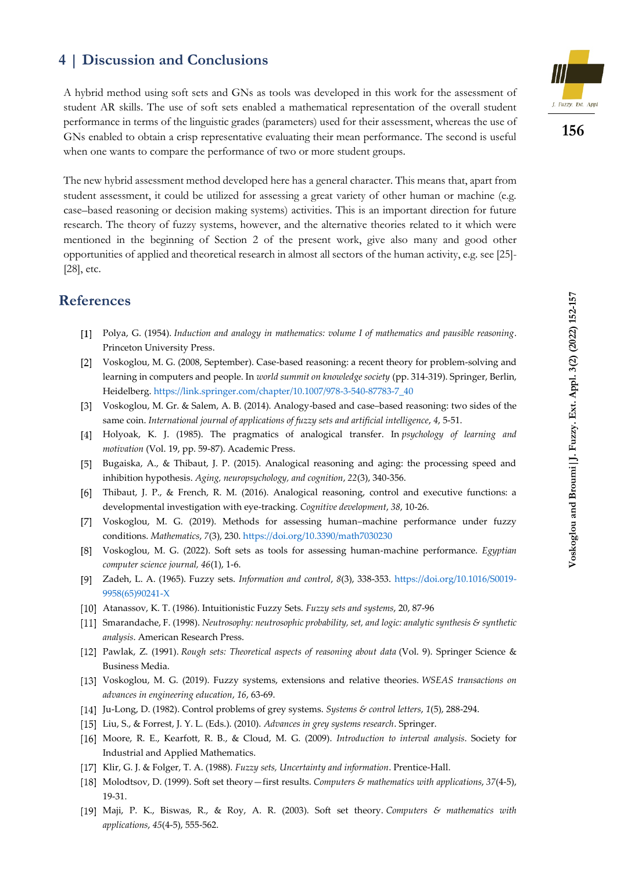# **4 | Discussion and Conclusions**

A hybrid method using soft sets and GNs as tools was developed in this work for the assessment of student AR skills. The use of soft sets enabled a mathematical representation of the overall student performance in terms of the linguistic grades (parameters) used for their assessment, whereas the use of GNs enabled to obtain a crisp representative evaluating their mean performance. The second is useful when one wants to compare the performance of two or more student groups.

The new hybrid assessment method developed here has a general character. This means that, apart from student assessment, it could be utilized for assessing a great variety of other human or machine (e.g. case–based reasoning or decision making systems) activities. This is an important direction for future research. The theory of fuzzy systems, however, and the alternative theories related to it which were mentioned in the beginning of Section 2 of the present work, give also many and good other opportunities of applied and theoretical research in almost all sectors of the human activity, e.g. see [25]- [28], etc.

## **References**

- Polya, G. (1954). *Induction and analogy in mathematics: volume I of mathematics and pausible reasoning*. Princeton University Press.
- Voskoglou, M. G. (2008, September). Case-based reasoning: a recent theory for problem-solving and  $\lceil 2 \rceil$ learning in computers and people. In *world summit on knowledge society* (pp. 314-319). Springer, Berlin, Heidelberg[. https://link.springer.com/chapter/10.1007/978-3-540-87783-7\\_40](https://link.springer.com/chapter/10.1007/978-3-540-87783-7_40)
- Voskoglou, M. Gr. & Salem, A. B. (2014). Analogy-based and case–based reasoning: two sides of the same coin. *International journal of applications of fuzzy sets and artificial intelligence*, *4*, 5-51.
- Holyoak, K. J. (1985). The pragmatics of analogical transfer. In *psychology of learning and motivation* (Vol. 19, pp. 59-87). Academic Press.
- Bugaiska, A., & Thibaut, J. P. (2015). Analogical reasoning and aging: the processing speed and inhibition hypothesis. *Aging, neuropsychology, and cognition*, *22*(3), 340-356.
- Thibaut, J. P., & French, R. M. (2016). Analogical reasoning, control and executive functions: a developmental investigation with eye-tracking. *Cognitive development*, *38*, 10-26.
- Voskoglou, M. G. (2019). Methods for assessing human–machine performance under fuzzy conditions. *Mathematics*, *7*(3), 230[. https://doi.org/10.3390/math7030230](https://doi.org/10.3390/math7030230)
- Voskoglou, M. G. (2022). Soft sets as tools for assessing human-machine performance. *Egyptian computer science journal, 46*(1), 1-6.
- Zadeh, L. A. (1965). Fuzzy sets. *Information and control*, *8*(3), 338-353. [https://doi.org/10.1016/S0019-](https://doi.org/10.1016/S0019-9958(65)90241-X) [9958\(65\)90241-X](https://doi.org/10.1016/S0019-9958(65)90241-X)
- Atanassov, K. T. (1986). Intuitionistic Fuzzy Sets. *Fuzzy sets and systems*, 20, 87-96
- Smarandache, F. (1998). *[Neutrosophy: neutrosophic probability, set, and logic: analytic synthesis &](https://philpapers.org/go.pl?id=SMANNP&proxyId=&u=http%3A%2F%2Fbooks.google.com%2Fbooks%3Fid%3DLgEZAQAAIAAJ%26printsec%3Dfront_cover) synthetic [analysis](https://philpapers.org/go.pl?id=SMANNP&proxyId=&u=http%3A%2F%2Fbooks.google.com%2Fbooks%3Fid%3DLgEZAQAAIAAJ%26printsec%3Dfront_cover)*. American Research Press.
- Pawlak, Z. (1991). *Rough sets: Theoretical aspects of reasoning about data* (Vol. 9). Springer Science & Business Media.
- Voskoglou, M. G. (2019). Fuzzy systems, extensions and relative theories. *WSEAS transactions on advances in engineering education*, *16*, 63-69.
- Ju-Long, D. (1982). Control problems of grey systems. *Systems & control letters*, *1*(5), 288-294.
- Liu, S., & Forrest, J. Y. L. (Eds.). (2010). *Advances in grey systems research*. Springer.
- Moore, R. E., Kearfott, R. B., & Cloud, M. G. (2009). *Introduction to interval analysis*. Society for Industrial and Applied Mathematics.
- Klir, G. J. & Folger, T. A. (1988). *Fuzzy sets, Uncertainty and information*. Prentice-Hall.
- Molodtsov, D. (1999). Soft set theory—first results. *Computers & mathematics with applications*, *37*(4-5), 19-31.
- Maji, P. K., Biswas, R., & Roy, A. R. (2003). Soft set theory. *Computers & mathematics with applications*, *45*(4-5), 555-562.



**156**